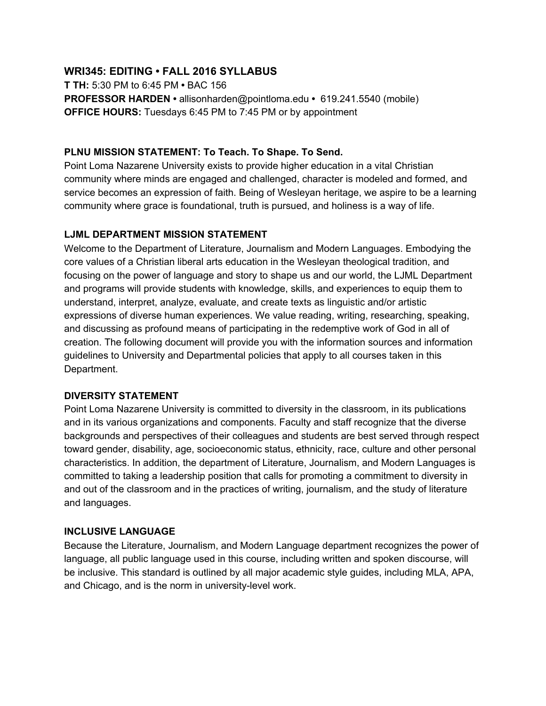## **WRI345: EDITING • FALL 2016 SYLLABUS**

**T TH:** 5:30 PM to 6:45 PM **•** BAC 156 **PROFESSOR HARDEN •** allisonharden@pointloma.edu **•** 619.241.5540 (mobile) **OFFICE HOURS:** Tuesdays 6:45 PM to 7:45 PM or by appointment

### **PLNU MISSION STATEMENT: To Teach. To Shape. To Send.**

Point Loma Nazarene University exists to provide higher education in a vital Christian community where minds are engaged and challenged, character is modeled and formed, and service becomes an expression of faith. Being of Wesleyan heritage, we aspire to be a learning community where grace is foundational, truth is pursued, and holiness is a way of life.

#### **LJML DEPARTMENT MISSION STATEMENT**

Welcome to the Department of Literature, Journalism and Modern Languages. Embodying the core values of a Christian liberal arts education in the Wesleyan theological tradition, and focusing on the power of language and story to shape us and our world, the LJML Department and programs will provide students with knowledge, skills, and experiences to equip them to understand, interpret, analyze, evaluate, and create texts as linguistic and/or artistic expressions of diverse human experiences. We value reading, writing, researching, speaking, and discussing as profound means of participating in the redemptive work of God in all of creation. The following document will provide you with the information sources and information guidelines to University and Departmental policies that apply to all courses taken in this Department.

## **DIVERSITY STATEMENT**

Point Loma Nazarene University is committed to diversity in the classroom, in its publications and in its various organizations and components. Faculty and staff recognize that the diverse backgrounds and perspectives of their colleagues and students are best served through respect toward gender, disability, age, socioeconomic status, ethnicity, race, culture and other personal characteristics. In addition, the department of Literature, Journalism, and Modern Languages is committed to taking a leadership position that calls for promoting a commitment to diversity in and out of the classroom and in the practices of writing, journalism, and the study of literature and languages.

## **INCLUSIVE LANGUAGE**

Because the Literature, Journalism, and Modern Language department recognizes the power of language, all public language used in this course, including written and spoken discourse, will be inclusive. This standard is outlined by all major academic style guides, including MLA, APA, and Chicago, and is the norm in university-level work.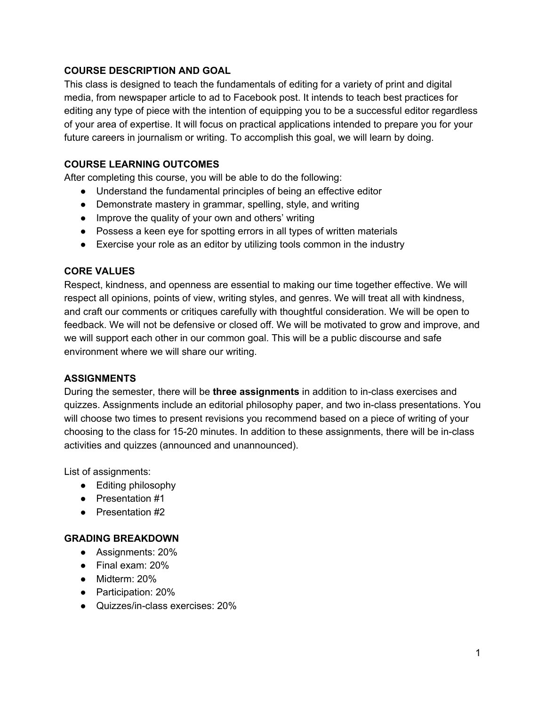## **COURSE DESCRIPTION AND GOAL**

This class is designed to teach the fundamentals of editing for a variety of print and digital media, from newspaper article to ad to Facebook post. It intends to teach best practices for editing any type of piece with the intention of equipping you to be a successful editor regardless of your area of expertise. It will focus on practical applications intended to prepare you for your future careers in journalism or writing. To accomplish this goal, we will learn by doing.

### **COURSE LEARNING OUTCOMES**

After completing this course, you will be able to do the following:

- Understand the fundamental principles of being an effective editor
- Demonstrate mastery in grammar, spelling, style, and writing
- Improve the quality of your own and others' writing
- Possess a keen eye for spotting errors in all types of written materials
- Exercise your role as an editor by utilizing tools common in the industry

#### **CORE VALUES**

Respect, kindness, and openness are essential to making our time together effective. We will respect all opinions, points of view, writing styles, and genres. We will treat all with kindness, and craft our comments or critiques carefully with thoughtful consideration. We will be open to feedback. We will not be defensive or closed off. We will be motivated to grow and improve, and we will support each other in our common goal. This will be a public discourse and safe environment where we will share our writing.

#### **ASSIGNMENTS**

During the semester, there will be **three assignments** in addition to in-class exercises and quizzes. Assignments include an editorial philosophy paper, and two in-class presentations. You will choose two times to present revisions you recommend based on a piece of writing of your choosing to the class for 15-20 minutes. In addition to these assignments, there will be in-class activities and quizzes (announced and unannounced).

List of assignments:

- Editing philosophy
- Presentation #1
- Presentation #2

#### **GRADING BREAKDOWN**

- Assignments: 20%
- Final exam: 20%
- Midterm: 20%
- Participation: 20%
- Quizzes/in-class exercises: 20%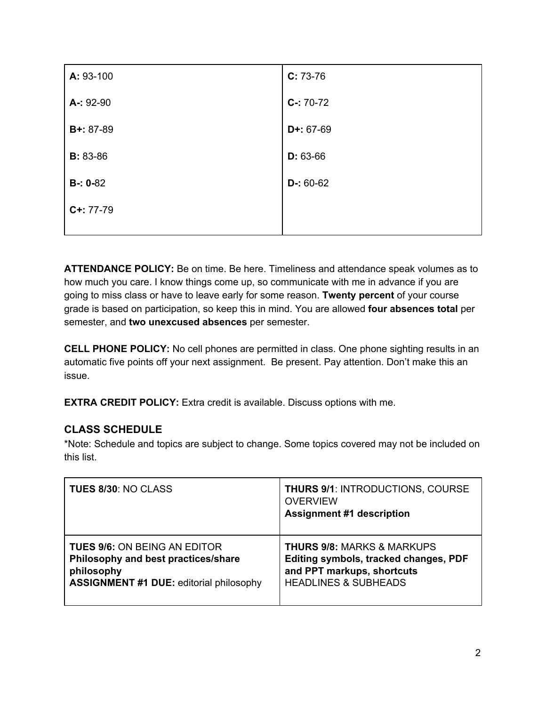| A: 93-100        | $C: 73-76$  |
|------------------|-------------|
| A-: 92-90        | $C-: 70-72$ |
| <b>B+:</b> 87-89 | $D+: 67-69$ |
| <b>B</b> : 83-86 | $D: 63-66$  |
| $B - 0 - 82$     | $D-: 60-62$ |
| $C+: 77-79$      |             |
|                  |             |

**ATTENDANCE POLICY:** Be on time. Be here. Timeliness and attendance speak volumes as to how much you care. I know things come up, so communicate with me in advance if you are going to miss class or have to leave early for some reason. **Twenty percent** of your course grade is based on participation, so keep this in mind. You are allowed **four absences total** per semester, and two unexcused absences per semester.

**CELL PHONE POLICY:** No cell phones are permitted in class. One phone sighting results in an automatic five points off your next assignment. Be present. Pay attention. Don't make this an issue.

**EXTRA CREDIT POLICY:** Extra credit is available. Discuss options with me.

# **CLASS SCHEDULE**

\*Note: Schedule and topics are subject to change. Some topics covered may not be included on this list.

| <b>TUES 8/30: NO CLASS</b>                     | <b>THURS 9/1: INTRODUCTIONS, COURSE</b><br><b>OVERVIEW</b><br><b>Assignment #1 description</b> |
|------------------------------------------------|------------------------------------------------------------------------------------------------|
| <b>TUES 9/6: ON BEING AN EDITOR</b>            | <b>THURS 9/8: MARKS &amp; MARKUPS</b>                                                          |
| Philosophy and best practices/share            | Editing symbols, tracked changes, PDF                                                          |
| philosophy                                     | and PPT markups, shortcuts                                                                     |
| <b>ASSIGNMENT #1 DUE:</b> editorial philosophy | <b>HEADLINES &amp; SUBHEADS</b>                                                                |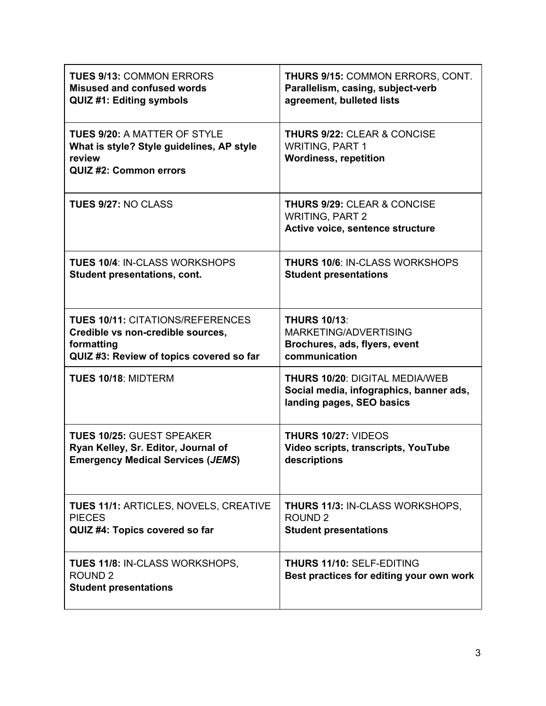| <b>TUES 9/13: COMMON ERRORS</b><br><b>Misused and confused words</b><br><b>QUIZ #1: Editing symbols</b>                                | THURS 9/15: COMMON ERRORS, CONT.<br>Parallelism, casing, subject-verb<br>agreement, bulleted lists     |
|----------------------------------------------------------------------------------------------------------------------------------------|--------------------------------------------------------------------------------------------------------|
| <b>TUES 9/20: A MATTER OF STYLE</b><br>What is style? Style guidelines, AP style<br>review<br>QUIZ #2: Common errors                   | <b>THURS 9/22: CLEAR &amp; CONCISE</b><br><b>WRITING, PART 1</b><br><b>Wordiness, repetition</b>       |
| TUES 9/27: NO CLASS                                                                                                                    | <b>THURS 9/29: CLEAR &amp; CONCISE</b><br><b>WRITING, PART 2</b><br>Active voice, sentence structure   |
| TUES 10/4: IN-CLASS WORKSHOPS<br>Student presentations, cont.                                                                          | <b>THURS 10/6: IN-CLASS WORKSHOPS</b><br><b>Student presentations</b>                                  |
| <b>TUES 10/11: CITATIONS/REFERENCES</b><br>Credible vs non-credible sources,<br>formatting<br>QUIZ #3: Review of topics covered so far | <b>THURS 10/13:</b><br>MARKETING/ADVERTISING<br>Brochures, ads, flyers, event<br>communication         |
| TUES 10/18: MIDTERM                                                                                                                    | THURS 10/20: DIGITAL MEDIA/WEB<br>Social media, infographics, banner ads,<br>landing pages, SEO basics |
| <b>TUES 10/25: GUEST SPEAKER</b><br>Ryan Kelley, Sr. Editor, Journal of<br><b>Emergency Medical Services (JEMS)</b>                    | <b>THURS 10/27: VIDEOS</b><br>Video scripts, transcripts, YouTube<br>descriptions                      |
| TUES 11/1: ARTICLES, NOVELS, CREATIVE<br><b>PIECES</b><br>QUIZ #4: Topics covered so far                                               | <b>THURS 11/3: IN-CLASS WORKSHOPS,</b><br>ROUND <sub>2</sub><br><b>Student presentations</b>           |
| <b>TUES 11/8: IN-CLASS WORKSHOPS,</b><br>ROUND <sub>2</sub><br><b>Student presentations</b>                                            | THURS 11/10: SELF-EDITING<br>Best practices for editing your own work                                  |